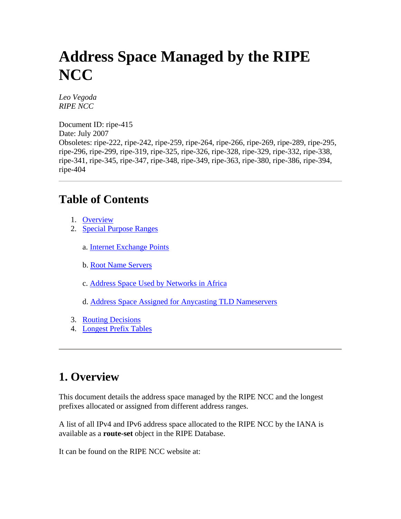# **Address Space Managed by the RIPE NCC**

*Leo Vegoda RIPE NCC* 

Document ID: ripe-415 Date: July 2007 Obsoletes: ripe-222, ripe-242, ripe-259, ripe-264, ripe-266, ripe-269, ripe-289, ripe-295, ripe-296, ripe-299, ripe-319, ripe-325, ripe-326, ripe-328, ripe-329, ripe-332, ripe-338, ripe-341, ripe-345, ripe-347, ripe-348, ripe-349, ripe-363, ripe-380, ripe-386, ripe-394, ripe-404

### **Table of Contents**

- 1. [Overview](http://test-www.ripe.net/ripe/docs/ripe-394.html#overview)
- 2. [Special Purpose Ranges](http://test-www.ripe.net/ripe/docs/ripe-394.html#special_purpose_ranges)
	- a. [Internet Exchange Points](http://test-www.ripe.net/ripe/docs/ripe-394.html#ixp)
	- b. [Root Name Servers](http://test-www.ripe.net/ripe/docs/ripe-394.html#root)
	- c. [Address Space Used by Networks in Africa](http://test-www.ripe.net/ripe/docs/ripe-394.html#africa)
	- d. [Address Space Assigned for Anycasting TLD Nameservers](http://test-www.ripe.net/ripe/docs/ripe-394.html#2d)
- 3. [Routing Decisions](http://test-www.ripe.net/ripe/docs/ripe-394.html#routing_decisions)
- 4. [Longest Prefix Tables](http://test-www.ripe.net/ripe/docs/ripe-394.html#longest_prefix_tables)

# **1. Overview**

This document details the address space managed by the RIPE NCC and the longest prefixes allocated or assigned from different address ranges.

A list of all IPv4 and IPv6 address space allocated to the RIPE NCC by the IANA is available as a **route-set** object in the RIPE Database.

It can be found on the RIPE NCC website at: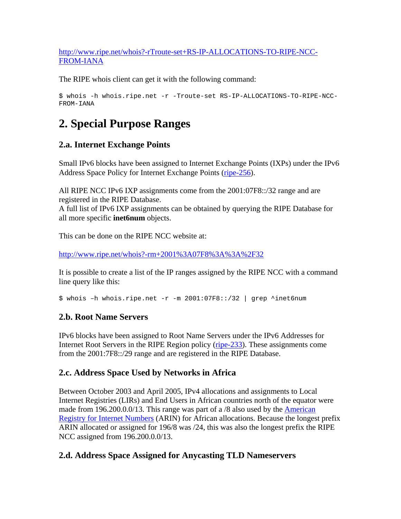[http://www.ripe.net/whois?-rTroute-set+RS-IP-ALLOCATIONS-TO-RIPE-NCC-](http://www.ripe.net/whois?-rTroute-set%2BRS-IP-ALLOCATIONS-TO-RIPE-NCC-FROM-IANA)[FROM-IANA](http://www.ripe.net/whois?-rTroute-set%2BRS-IP-ALLOCATIONS-TO-RIPE-NCC-FROM-IANA)

The RIPE whois client can get it with the following command:

```
$ whois -h whois.ripe.net -r -Troute-set RS-IP-ALLOCATIONS-TO-RIPE-NCC-
FROM-IANA
```
# **2. Special Purpose Ranges**

#### **2.a. Internet Exchange Points**

Small IPv6 blocks have been assigned to Internet Exchange Points (IXPs) under the IPv6 Address Space Policy for Internet Exchange Points [\(ripe-256\)](http://test-www.ripe.net/ripe/docs/ipv6-policy-ixp.html).

All RIPE NCC IPv6 IXP assignments come from the 2001:07F8::/32 range and are registered in the RIPE Database.

A full list of IPv6 IXP assignments can be obtained by querying the RIPE Database for all more specific **inet6num** objects.

This can be done on the RIPE NCC website at:

[http://www.ripe.net/whois?-rm+2001%3A07F8%3A%3A%2F32](http://www.ripe.net/whois?-rm%2B2001%3A07F8%3A%3A%2F32)

It is possible to create a list of the IP ranges assigned by the RIPE NCC with a command line query like this:

\$ whois –h whois.ripe.net -r -m 2001:07F8::/32 | grep ^inet6num

#### **2.b. Root Name Servers**

IPv6 blocks have been assigned to Root Name Servers under the IPv6 Addresses for Internet Root Servers in the RIPE Region policy [\(ripe-233\)](http://test-www.ripe.net/ripe/docs/ipv6-rootservers.html). These assignments come from the 2001:7F8::/29 range and are registered in the RIPE Database.

#### **2.c. Address Space Used by Networks in Africa**

Between October 2003 and April 2005, IPv4 allocations and assignments to Local Internet Registries (LIRs) and End Users in African countries north of the equator were made from 196.200.0.0/13. This range was part of a /8 also used by the American [Registry for Internet Numbers](http://www.arin.net/) (ARIN) for African allocations. Because the longest prefix ARIN allocated or assigned for 196/8 was /24, this was also the longest prefix the RIPE NCC assigned from 196.200.0.0/13.

#### **2.d. Address Space Assigned for Anycasting TLD Nameservers**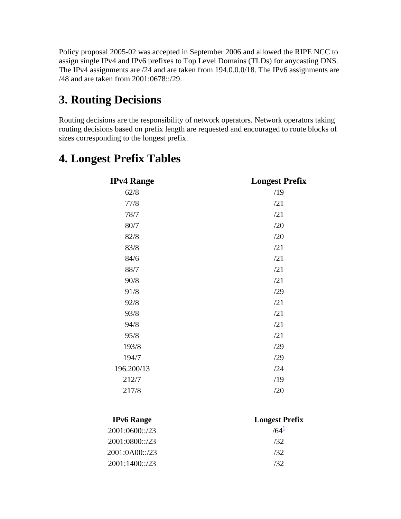Policy proposal 2005-02 was accepted in September 2006 and allowed the RIPE NCC to assign single IPv4 and IPv6 prefixes to Top Level Domains (TLDs) for anycasting DNS. The IPv4 assignments are /24 and are taken from 194.0.0.0/18. The IPv6 assignments are /48 and are taken from 2001:0678::/29.

## **3. Routing Decisions**

Routing decisions are the responsibility of network operators. Network operators taking routing decisions based on prefix length are requested and encouraged to route blocks of sizes corresponding to the longest prefix.

## **4. Longest Prefix Tables**

| <b>IPv4 Range</b> | <b>Longest Prefix</b> |
|-------------------|-----------------------|
| 62/8              | /19                   |
| 77/8              | /21                   |
| 78/7              | /21                   |
| 80/7              | /20                   |
| 82/8              | /20                   |
| 83/8              | /21                   |
| 84/6              | /21                   |
| 88/7              | /21                   |
| 90/8              | /21                   |
| 91/8              | /29                   |
| 92/8              | /21                   |
| 93/8              | /21                   |
| 94/8              | /21                   |
| 95/8              | /21                   |
| 193/8             | /29                   |
| 194/7             | /29                   |
| 196.200/13        | /24                   |
| 212/7             | /19                   |
| 217/8             | /20                   |
|                   |                       |

| <b>IPv6</b> Range | <b>Longest Prefix</b> |
|-------------------|-----------------------|
| 2001:0600::/23    | $/64^{\frac{1}{2}}$   |
| 2001:0800::/23    | 132.                  |
| 2001:0A00::/23    | 132.                  |
| 2001:1400::/23    | 132.                  |